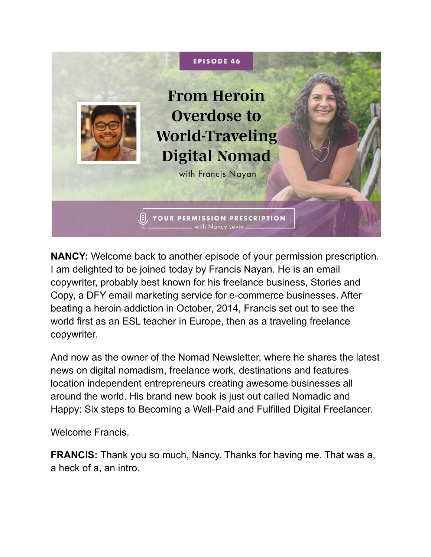

**NANCY:** Welcome back to another episode of your permission prescription. I am delighted to be joined today by Francis Nayan. He is an email copywriter, probably best known for his freelance business, Stories and Copy, a DFY email marketing service for e-commerce businesses. After beating a heroin addiction in October, 2014, Francis set out to see the world first as an ESL teacher in Europe, then as a traveling freelance copywriter.

And now as the owner of the Nomad Newsletter, where he shares the latest news on digital nomadism, freelance work, destinations and features location independent entrepreneurs creating awesome businesses all around the world. His brand new book is just out called Nomadic and Happy: Six steps to Becoming a Well-Paid and Fulfilled Digital Freelancer.

Welcome Francis.

**FRANCIS:** Thank you so much, Nancy. Thanks for having me. That was a, a heck of a, an intro.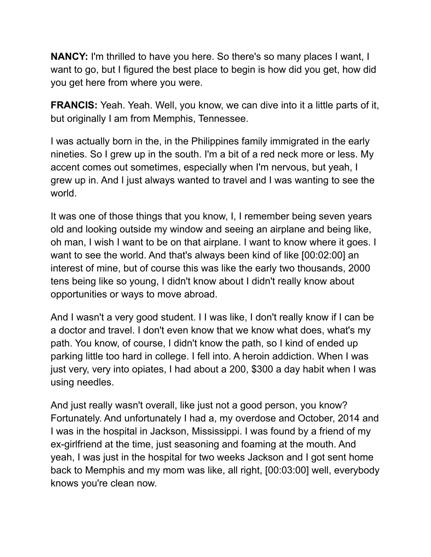**NANCY:** I'm thrilled to have you here. So there's so many places I want, I want to go, but I figured the best place to begin is how did you get, how did you get here from where you were.

**FRANCIS:** Yeah. Yeah. Well, you know, we can dive into it a little parts of it, but originally I am from Memphis, Tennessee.

I was actually born in the, in the Philippines family immigrated in the early nineties. So I grew up in the south. I'm a bit of a red neck more or less. My accent comes out sometimes, especially when I'm nervous, but yeah, I grew up in. And I just always wanted to travel and I was wanting to see the world.

It was one of those things that you know, I, I remember being seven years old and looking outside my window and seeing an airplane and being like, oh man, I wish I want to be on that airplane. I want to know where it goes. I want to see the world. And that's always been kind of like [00:02:00] an interest of mine, but of course this was like the early two thousands, 2000 tens being like so young, I didn't know about I didn't really know about opportunities or ways to move abroad.

And I wasn't a very good student. I I was like, I don't really know if I can be a doctor and travel. I don't even know that we know what does, what's my path. You know, of course, I didn't know the path, so I kind of ended up parking little too hard in college. I fell into. A heroin addiction. When I was just very, very into opiates, I had about a 200, \$300 a day habit when I was using needles.

And just really wasn't overall, like just not a good person, you know? Fortunately. And unfortunately I had a, my overdose and October, 2014 and I was in the hospital in Jackson, Mississippi. I was found by a friend of my ex-girlfriend at the time, just seasoning and foaming at the mouth. And yeah, I was just in the hospital for two weeks Jackson and I got sent home back to Memphis and my mom was like, all right, [00:03:00] well, everybody knows you're clean now.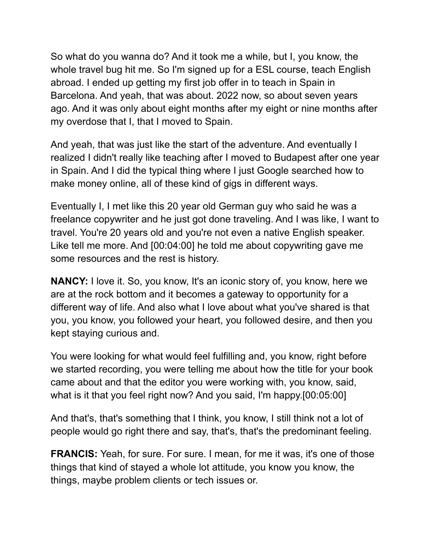So what do you wanna do? And it took me a while, but I, you know, the whole travel bug hit me. So I'm signed up for a ESL course, teach English abroad. I ended up getting my first job offer in to teach in Spain in Barcelona. And yeah, that was about. 2022 now, so about seven years ago. And it was only about eight months after my eight or nine months after my overdose that I, that I moved to Spain.

And yeah, that was just like the start of the adventure. And eventually I realized I didn't really like teaching after I moved to Budapest after one year in Spain. And I did the typical thing where I just Google searched how to make money online, all of these kind of gigs in different ways.

Eventually I, I met like this 20 year old German guy who said he was a freelance copywriter and he just got done traveling. And I was like, I want to travel. You're 20 years old and you're not even a native English speaker. Like tell me more. And [00:04:00] he told me about copywriting gave me some resources and the rest is history.

**NANCY:** I love it. So, you know, It's an iconic story of, you know, here we are at the rock bottom and it becomes a gateway to opportunity for a different way of life. And also what I love about what you've shared is that you, you know, you followed your heart, you followed desire, and then you kept staying curious and.

You were looking for what would feel fulfilling and, you know, right before we started recording, you were telling me about how the title for your book came about and that the editor you were working with, you know, said, what is it that you feel right now? And you said, I'm happy.[00:05:00]

And that's, that's something that I think, you know, I still think not a lot of people would go right there and say, that's, that's the predominant feeling.

**FRANCIS:** Yeah, for sure. For sure. I mean, for me it was, it's one of those things that kind of stayed a whole lot attitude, you know you know, the things, maybe problem clients or tech issues or.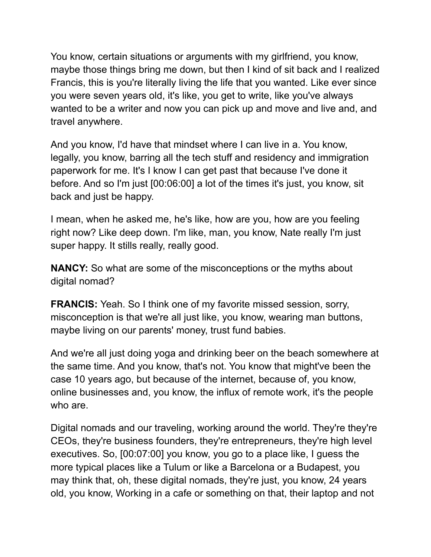You know, certain situations or arguments with my girlfriend, you know, maybe those things bring me down, but then I kind of sit back and I realized Francis, this is you're literally living the life that you wanted. Like ever since you were seven years old, it's like, you get to write, like you've always wanted to be a writer and now you can pick up and move and live and, and travel anywhere.

And you know, I'd have that mindset where I can live in a. You know, legally, you know, barring all the tech stuff and residency and immigration paperwork for me. It's I know I can get past that because I've done it before. And so I'm just [00:06:00] a lot of the times it's just, you know, sit back and just be happy.

I mean, when he asked me, he's like, how are you, how are you feeling right now? Like deep down. I'm like, man, you know, Nate really I'm just super happy. It stills really, really good.

**NANCY:** So what are some of the misconceptions or the myths about digital nomad?

**FRANCIS:** Yeah. So I think one of my favorite missed session, sorry, misconception is that we're all just like, you know, wearing man buttons, maybe living on our parents' money, trust fund babies.

And we're all just doing yoga and drinking beer on the beach somewhere at the same time. And you know, that's not. You know that might've been the case 10 years ago, but because of the internet, because of, you know, online businesses and, you know, the influx of remote work, it's the people who are.

Digital nomads and our traveling, working around the world. They're they're CEOs, they're business founders, they're entrepreneurs, they're high level executives. So, [00:07:00] you know, you go to a place like, I guess the more typical places like a Tulum or like a Barcelona or a Budapest, you may think that, oh, these digital nomads, they're just, you know, 24 years old, you know, Working in a cafe or something on that, their laptop and not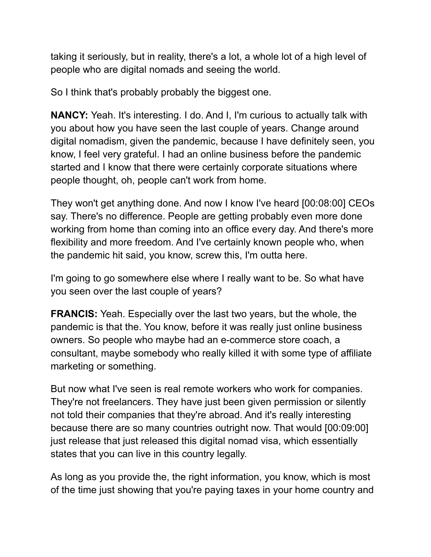taking it seriously, but in reality, there's a lot, a whole lot of a high level of people who are digital nomads and seeing the world.

So I think that's probably probably the biggest one.

**NANCY:** Yeah. It's interesting. I do. And I, I'm curious to actually talk with you about how you have seen the last couple of years. Change around digital nomadism, given the pandemic, because I have definitely seen, you know, I feel very grateful. I had an online business before the pandemic started and I know that there were certainly corporate situations where people thought, oh, people can't work from home.

They won't get anything done. And now I know I've heard [00:08:00] CEOs say. There's no difference. People are getting probably even more done working from home than coming into an office every day. And there's more flexibility and more freedom. And I've certainly known people who, when the pandemic hit said, you know, screw this, I'm outta here.

I'm going to go somewhere else where I really want to be. So what have you seen over the last couple of years?

**FRANCIS:** Yeah. Especially over the last two years, but the whole, the pandemic is that the. You know, before it was really just online business owners. So people who maybe had an e-commerce store coach, a consultant, maybe somebody who really killed it with some type of affiliate marketing or something.

But now what I've seen is real remote workers who work for companies. They're not freelancers. They have just been given permission or silently not told their companies that they're abroad. And it's really interesting because there are so many countries outright now. That would [00:09:00] just release that just released this digital nomad visa, which essentially states that you can live in this country legally.

As long as you provide the, the right information, you know, which is most of the time just showing that you're paying taxes in your home country and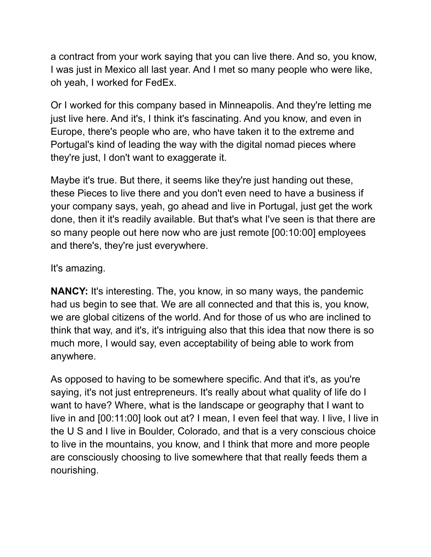a contract from your work saying that you can live there. And so, you know, I was just in Mexico all last year. And I met so many people who were like, oh yeah, I worked for FedEx.

Or I worked for this company based in Minneapolis. And they're letting me just live here. And it's, I think it's fascinating. And you know, and even in Europe, there's people who are, who have taken it to the extreme and Portugal's kind of leading the way with the digital nomad pieces where they're just, I don't want to exaggerate it.

Maybe it's true. But there, it seems like they're just handing out these, these Pieces to live there and you don't even need to have a business if your company says, yeah, go ahead and live in Portugal, just get the work done, then it it's readily available. But that's what I've seen is that there are so many people out here now who are just remote [00:10:00] employees and there's, they're just everywhere.

It's amazing.

**NANCY:** It's interesting. The, you know, in so many ways, the pandemic had us begin to see that. We are all connected and that this is, you know, we are global citizens of the world. And for those of us who are inclined to think that way, and it's, it's intriguing also that this idea that now there is so much more, I would say, even acceptability of being able to work from anywhere.

As opposed to having to be somewhere specific. And that it's, as you're saying, it's not just entrepreneurs. It's really about what quality of life do I want to have? Where, what is the landscape or geography that I want to live in and [00:11:00] look out at? I mean, I even feel that way. I live, I live in the U S and I live in Boulder, Colorado, and that is a very conscious choice to live in the mountains, you know, and I think that more and more people are consciously choosing to live somewhere that that really feeds them a nourishing.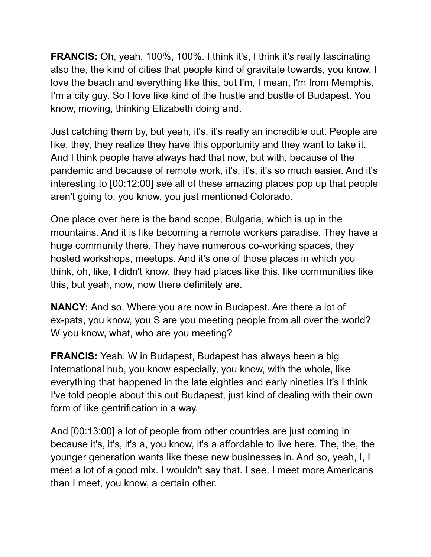**FRANCIS:** Oh, yeah, 100%, 100%. I think it's, I think it's really fascinating also the, the kind of cities that people kind of gravitate towards, you know, I love the beach and everything like this, but I'm, I mean, I'm from Memphis, I'm a city guy. So I love like kind of the hustle and bustle of Budapest. You know, moving, thinking Elizabeth doing and.

Just catching them by, but yeah, it's, it's really an incredible out. People are like, they, they realize they have this opportunity and they want to take it. And I think people have always had that now, but with, because of the pandemic and because of remote work, it's, it's, it's so much easier. And it's interesting to [00:12:00] see all of these amazing places pop up that people aren't going to, you know, you just mentioned Colorado.

One place over here is the band scope, Bulgaria, which is up in the mountains. And it is like becoming a remote workers paradise. They have a huge community there. They have numerous co-working spaces, they hosted workshops, meetups. And it's one of those places in which you think, oh, like, I didn't know, they had places like this, like communities like this, but yeah, now, now there definitely are.

**NANCY:** And so. Where you are now in Budapest. Are there a lot of ex-pats, you know, you S are you meeting people from all over the world? W you know, what, who are you meeting?

**FRANCIS:** Yeah. W in Budapest, Budapest has always been a big international hub, you know especially, you know, with the whole, like everything that happened in the late eighties and early nineties It's I think I've told people about this out Budapest, just kind of dealing with their own form of like gentrification in a way.

And [00:13:00] a lot of people from other countries are just coming in because it's, it's, it's a, you know, it's a affordable to live here. The, the, the younger generation wants like these new businesses in. And so, yeah, I, I meet a lot of a good mix. I wouldn't say that. I see, I meet more Americans than I meet, you know, a certain other.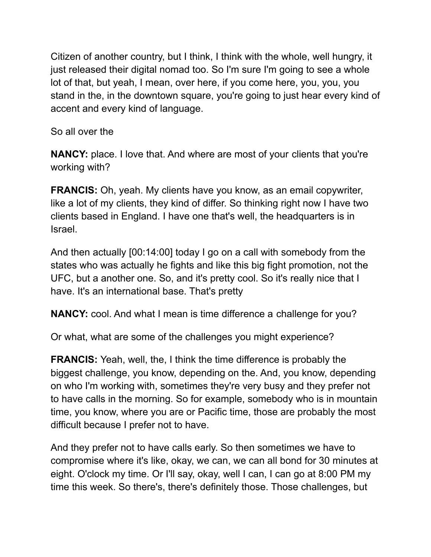Citizen of another country, but I think, I think with the whole, well hungry, it just released their digital nomad too. So I'm sure I'm going to see a whole lot of that, but yeah, I mean, over here, if you come here, you, you, you stand in the, in the downtown square, you're going to just hear every kind of accent and every kind of language.

So all over the

**NANCY:** place. I love that. And where are most of your clients that you're working with?

**FRANCIS:** Oh, yeah. My clients have you know, as an email copywriter, like a lot of my clients, they kind of differ. So thinking right now I have two clients based in England. I have one that's well, the headquarters is in Israel.

And then actually [00:14:00] today I go on a call with somebody from the states who was actually he fights and like this big fight promotion, not the UFC, but a another one. So, and it's pretty cool. So it's really nice that I have. It's an international base. That's pretty

**NANCY:** cool. And what I mean is time difference a challenge for you?

Or what, what are some of the challenges you might experience?

**FRANCIS:** Yeah, well, the, I think the time difference is probably the biggest challenge, you know, depending on the. And, you know, depending on who I'm working with, sometimes they're very busy and they prefer not to have calls in the morning. So for example, somebody who is in mountain time, you know, where you are or Pacific time, those are probably the most difficult because I prefer not to have.

And they prefer not to have calls early. So then sometimes we have to compromise where it's like, okay, we can, we can all bond for 30 minutes at eight. O'clock my time. Or I'll say, okay, well I can, I can go at 8:00 PM my time this week. So there's, there's definitely those. Those challenges, but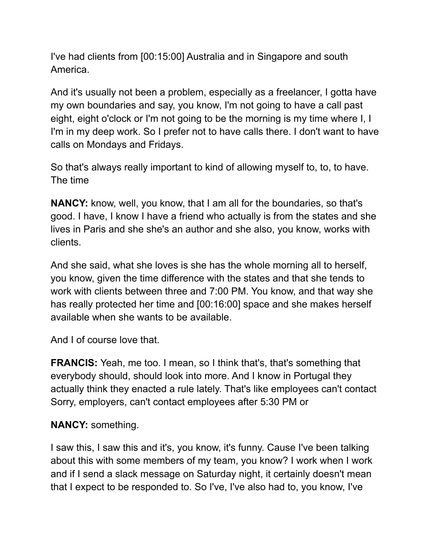I've had clients from [00:15:00] Australia and in Singapore and south America.

And it's usually not been a problem, especially as a freelancer, I gotta have my own boundaries and say, you know, I'm not going to have a call past eight, eight o'clock or I'm not going to be the morning is my time where I, I I'm in my deep work. So I prefer not to have calls there. I don't want to have calls on Mondays and Fridays.

So that's always really important to kind of allowing myself to, to, to have. The time

**NANCY:** know, well, you know, that I am all for the boundaries, so that's good. I have, I know I have a friend who actually is from the states and she lives in Paris and she she's an author and she also, you know, works with clients.

And she said, what she loves is she has the whole morning all to herself, you know, given the time difference with the states and that she tends to work with clients between three and 7:00 PM. You know, and that way she has really protected her time and [00:16:00] space and she makes herself available when she wants to be available.

And I of course love that.

**FRANCIS:** Yeah, me too. I mean, so I think that's, that's something that everybody should, should look into more. And I know in Portugal they actually think they enacted a rule lately. That's like employees can't contact Sorry, employers, can't contact employees after 5:30 PM or

## **NANCY:** something.

I saw this, I saw this and it's, you know, it's funny. Cause I've been talking about this with some members of my team, you know? I work when I work and if I send a slack message on Saturday night, it certainly doesn't mean that I expect to be responded to. So I've, I've also had to, you know, I've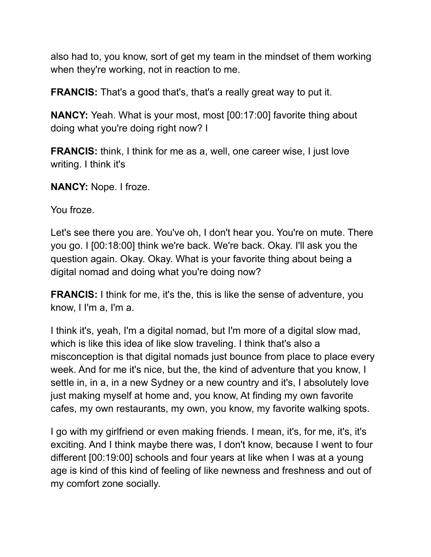also had to, you know, sort of get my team in the mindset of them working when they're working, not in reaction to me.

**FRANCIS:** That's a good that's, that's a really great way to put it.

**NANCY:** Yeah. What is your most, most [00:17:00] favorite thing about doing what you're doing right now? I

**FRANCIS:** think, I think for me as a, well, one career wise, I just love writing. I think it's

**NANCY:** Nope. I froze.

You froze.

Let's see there you are. You've oh, I don't hear you. You're on mute. There you go. I [00:18:00] think we're back. We're back. Okay. I'll ask you the question again. Okay. Okay. What is your favorite thing about being a digital nomad and doing what you're doing now?

**FRANCIS:** I think for me, it's the, this is like the sense of adventure, you know, I I'm a, I'm a.

I think it's, yeah, I'm a digital nomad, but I'm more of a digital slow mad, which is like this idea of like slow traveling. I think that's also a misconception is that digital nomads just bounce from place to place every week. And for me it's nice, but the, the kind of adventure that you know, I settle in, in a, in a new Sydney or a new country and it's, I absolutely love just making myself at home and, you know, At finding my own favorite cafes, my own restaurants, my own, you know, my favorite walking spots.

I go with my girlfriend or even making friends. I mean, it's, for me, it's, it's exciting. And I think maybe there was, I don't know, because I went to four different [00:19:00] schools and four years at like when I was at a young age is kind of this kind of feeling of like newness and freshness and out of my comfort zone socially.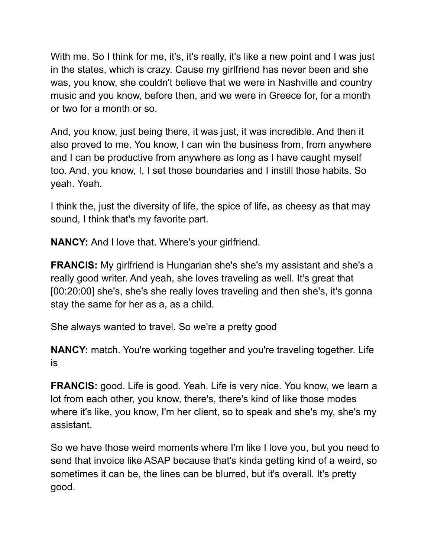With me. So I think for me, it's, it's really, it's like a new point and I was just in the states, which is crazy. Cause my girlfriend has never been and she was, you know, she couldn't believe that we were in Nashville and country music and you know, before then, and we were in Greece for, for a month or two for a month or so.

And, you know, just being there, it was just, it was incredible. And then it also proved to me. You know, I can win the business from, from anywhere and I can be productive from anywhere as long as I have caught myself too. And, you know, I, I set those boundaries and I instill those habits. So yeah. Yeah.

I think the, just the diversity of life, the spice of life, as cheesy as that may sound, I think that's my favorite part.

**NANCY:** And I love that. Where's your girlfriend.

**FRANCIS:** My girlfriend is Hungarian she's she's my assistant and she's a really good writer. And yeah, she loves traveling as well. It's great that [00:20:00] she's, she's she really loves traveling and then she's, it's gonna stay the same for her as a, as a child.

She always wanted to travel. So we're a pretty good

**NANCY:** match. You're working together and you're traveling together. Life is

**FRANCIS:** good. Life is good. Yeah. Life is very nice. You know, we learn a lot from each other, you know, there's, there's kind of like those modes where it's like, you know, I'm her client, so to speak and she's my, she's my assistant.

So we have those weird moments where I'm like I love you, but you need to send that invoice like ASAP because that's kinda getting kind of a weird, so sometimes it can be, the lines can be blurred, but it's overall. It's pretty good.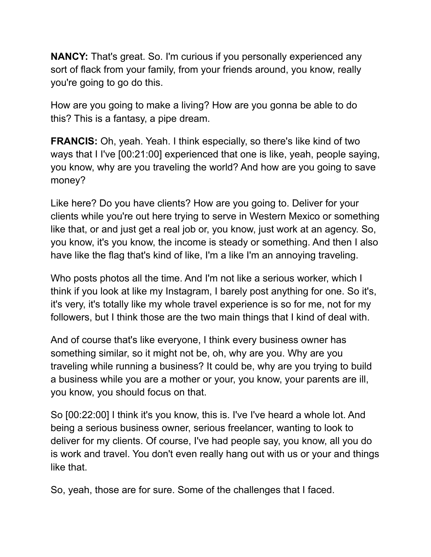**NANCY:** That's great. So. I'm curious if you personally experienced any sort of flack from your family, from your friends around, you know, really you're going to go do this.

How are you going to make a living? How are you gonna be able to do this? This is a fantasy, a pipe dream.

**FRANCIS:** Oh, yeah. Yeah. I think especially, so there's like kind of two ways that I I've [00:21:00] experienced that one is like, yeah, people saying, you know, why are you traveling the world? And how are you going to save money?

Like here? Do you have clients? How are you going to. Deliver for your clients while you're out here trying to serve in Western Mexico or something like that, or and just get a real job or, you know, just work at an agency. So, you know, it's you know, the income is steady or something. And then I also have like the flag that's kind of like, I'm a like I'm an annoying traveling.

Who posts photos all the time. And I'm not like a serious worker, which I think if you look at like my Instagram, I barely post anything for one. So it's, it's very, it's totally like my whole travel experience is so for me, not for my followers, but I think those are the two main things that I kind of deal with.

And of course that's like everyone, I think every business owner has something similar, so it might not be, oh, why are you. Why are you traveling while running a business? It could be, why are you trying to build a business while you are a mother or your, you know, your parents are ill, you know, you should focus on that.

So [00:22:00] I think it's you know, this is. I've I've heard a whole lot. And being a serious business owner, serious freelancer, wanting to look to deliver for my clients. Of course, I've had people say, you know, all you do is work and travel. You don't even really hang out with us or your and things like that.

So, yeah, those are for sure. Some of the challenges that I faced.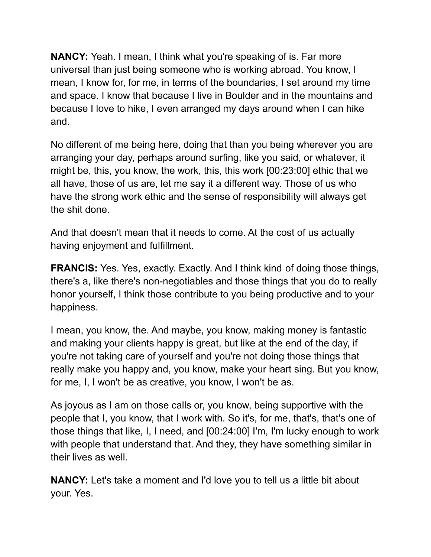**NANCY:** Yeah. I mean, I think what you're speaking of is. Far more universal than just being someone who is working abroad. You know, I mean, I know for, for me, in terms of the boundaries, I set around my time and space. I know that because I live in Boulder and in the mountains and because I love to hike, I even arranged my days around when I can hike and.

No different of me being here, doing that than you being wherever you are arranging your day, perhaps around surfing, like you said, or whatever, it might be, this, you know, the work, this, this work [00:23:00] ethic that we all have, those of us are, let me say it a different way. Those of us who have the strong work ethic and the sense of responsibility will always get the shit done.

And that doesn't mean that it needs to come. At the cost of us actually having enjoyment and fulfillment.

**FRANCIS:** Yes. Yes, exactly. Exactly. And I think kind of doing those things, there's a, like there's non-negotiables and those things that you do to really honor yourself, I think those contribute to you being productive and to your happiness.

I mean, you know, the. And maybe, you know, making money is fantastic and making your clients happy is great, but like at the end of the day, if you're not taking care of yourself and you're not doing those things that really make you happy and, you know, make your heart sing. But you know, for me, I, I won't be as creative, you know, I won't be as.

As joyous as I am on those calls or, you know, being supportive with the people that I, you know, that I work with. So it's, for me, that's, that's one of those things that like, I, I need, and [00:24:00] I'm, I'm lucky enough to work with people that understand that. And they, they have something similar in their lives as well.

**NANCY:** Let's take a moment and I'd love you to tell us a little bit about your. Yes.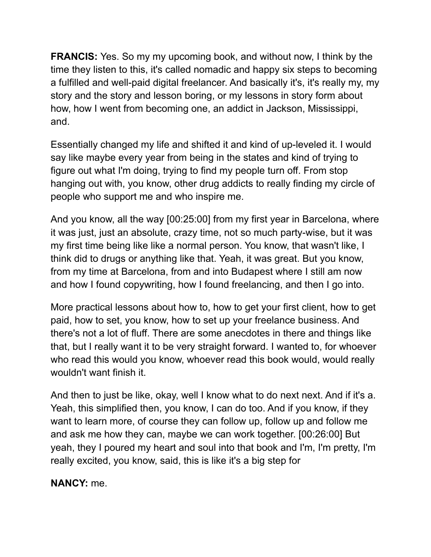**FRANCIS:** Yes. So my my upcoming book, and without now, I think by the time they listen to this, it's called nomadic and happy six steps to becoming a fulfilled and well-paid digital freelancer. And basically it's, it's really my, my story and the story and lesson boring, or my lessons in story form about how, how I went from becoming one, an addict in Jackson, Mississippi, and.

Essentially changed my life and shifted it and kind of up-leveled it. I would say like maybe every year from being in the states and kind of trying to figure out what I'm doing, trying to find my people turn off. From stop hanging out with, you know, other drug addicts to really finding my circle of people who support me and who inspire me.

And you know, all the way [00:25:00] from my first year in Barcelona, where it was just, just an absolute, crazy time, not so much party-wise, but it was my first time being like like a normal person. You know, that wasn't like, I think did to drugs or anything like that. Yeah, it was great. But you know, from my time at Barcelona, from and into Budapest where I still am now and how I found copywriting, how I found freelancing, and then I go into.

More practical lessons about how to, how to get your first client, how to get paid, how to set, you know, how to set up your freelance business. And there's not a lot of fluff. There are some anecdotes in there and things like that, but I really want it to be very straight forward. I wanted to, for whoever who read this would you know, whoever read this book would, would really wouldn't want finish it.

And then to just be like, okay, well I know what to do next next. And if it's a. Yeah, this simplified then, you know, I can do too. And if you know, if they want to learn more, of course they can follow up, follow up and follow me and ask me how they can, maybe we can work together. [00:26:00] But yeah, they I poured my heart and soul into that book and I'm, I'm pretty, I'm really excited, you know, said, this is like it's a big step for

**NANCY:** me.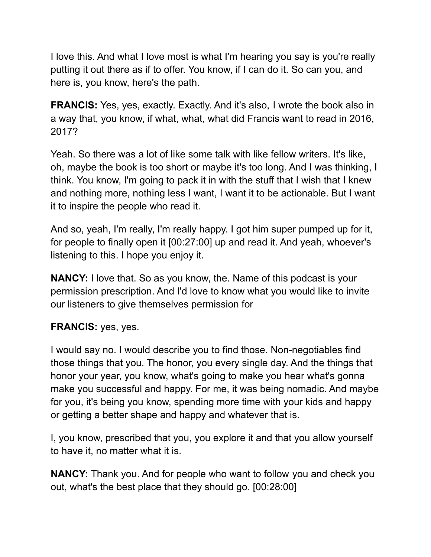I love this. And what I love most is what I'm hearing you say is you're really putting it out there as if to offer. You know, if I can do it. So can you, and here is, you know, here's the path.

**FRANCIS:** Yes, yes, exactly. Exactly. And it's also, I wrote the book also in a way that, you know, if what, what, what did Francis want to read in 2016, 2017?

Yeah. So there was a lot of like some talk with like fellow writers. It's like, oh, maybe the book is too short or maybe it's too long. And I was thinking, I think. You know, I'm going to pack it in with the stuff that I wish that I knew and nothing more, nothing less I want, I want it to be actionable. But I want it to inspire the people who read it.

And so, yeah, I'm really, I'm really happy. I got him super pumped up for it, for people to finally open it [00:27:00] up and read it. And yeah, whoever's listening to this. I hope you enjoy it.

**NANCY:** I love that. So as you know, the. Name of this podcast is your permission prescription. And I'd love to know what you would like to invite our listeners to give themselves permission for

## **FRANCIS:** yes, yes.

I would say no. I would describe you to find those. Non-negotiables find those things that you. The honor, you every single day. And the things that honor your year, you know, what's going to make you hear what's gonna make you successful and happy. For me, it was being nomadic. And maybe for you, it's being you know, spending more time with your kids and happy or getting a better shape and happy and whatever that is.

I, you know, prescribed that you, you explore it and that you allow yourself to have it, no matter what it is.

**NANCY:** Thank you. And for people who want to follow you and check you out, what's the best place that they should go. [00:28:00]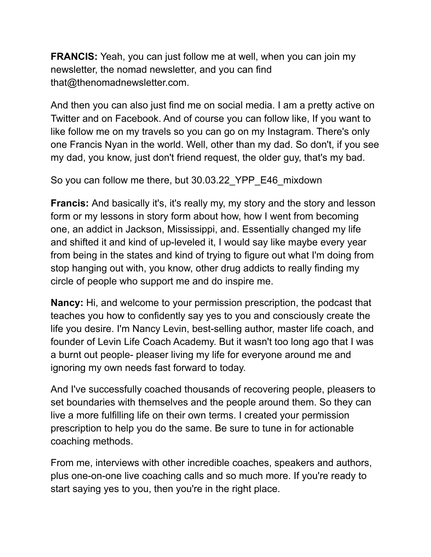**FRANCIS:** Yeah, you can just follow me at well, when you can join my newsletter, the nomad newsletter, and you can find that@thenomadnewsletter.com.

And then you can also just find me on social media. I am a pretty active on Twitter and on Facebook. And of course you can follow like, If you want to like follow me on my travels so you can go on my Instagram. There's only one Francis Nyan in the world. Well, other than my dad. So don't, if you see my dad, you know, just don't friend request, the older guy, that's my bad.

So you can follow me there, but 30.03.22\_YPP\_E46\_mixdown

**Francis:** And basically it's, it's really my, my story and the story and lesson form or my lessons in story form about how, how I went from becoming one, an addict in Jackson, Mississippi, and. Essentially changed my life and shifted it and kind of up-leveled it, I would say like maybe every year from being in the states and kind of trying to figure out what I'm doing from stop hanging out with, you know, other drug addicts to really finding my circle of people who support me and do inspire me.

**Nancy:** Hi, and welcome to your permission prescription, the podcast that teaches you how to confidently say yes to you and consciously create the life you desire. I'm Nancy Levin, best-selling author, master life coach, and founder of Levin Life Coach Academy. But it wasn't too long ago that I was a burnt out people- pleaser living my life for everyone around me and ignoring my own needs fast forward to today.

And I've successfully coached thousands of recovering people, pleasers to set boundaries with themselves and the people around them. So they can live a more fulfilling life on their own terms. I created your permission prescription to help you do the same. Be sure to tune in for actionable coaching methods.

From me, interviews with other incredible coaches, speakers and authors, plus one-on-one live coaching calls and so much more. If you're ready to start saying yes to you, then you're in the right place.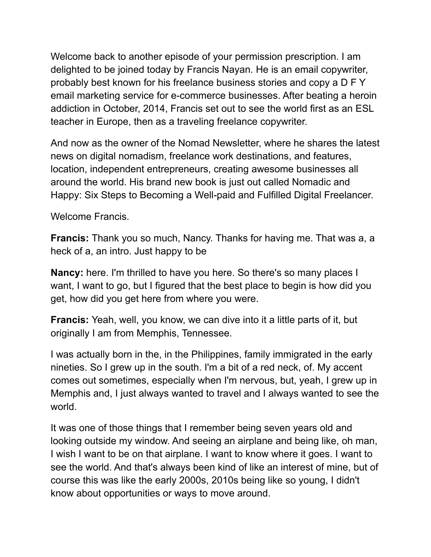Welcome back to another episode of your permission prescription. I am delighted to be joined today by Francis Nayan. He is an email copywriter, probably best known for his freelance business stories and copy a D F Y email marketing service for e-commerce businesses. After beating a heroin addiction in October, 2014, Francis set out to see the world first as an ESL teacher in Europe, then as a traveling freelance copywriter.

And now as the owner of the Nomad Newsletter, where he shares the latest news on digital nomadism, freelance work destinations, and features, location, independent entrepreneurs, creating awesome businesses all around the world. His brand new book is just out called Nomadic and Happy: Six Steps to Becoming a Well-paid and Fulfilled Digital Freelancer.

Welcome Francis.

**Francis:** Thank you so much, Nancy. Thanks for having me. That was a, a heck of a, an intro. Just happy to be

**Nancy:** here. I'm thrilled to have you here. So there's so many places I want, I want to go, but I figured that the best place to begin is how did you get, how did you get here from where you were.

**Francis:** Yeah, well, you know, we can dive into it a little parts of it, but originally I am from Memphis, Tennessee.

I was actually born in the, in the Philippines, family immigrated in the early nineties. So I grew up in the south. I'm a bit of a red neck, of. My accent comes out sometimes, especially when I'm nervous, but, yeah, I grew up in Memphis and, I just always wanted to travel and I always wanted to see the world.

It was one of those things that I remember being seven years old and looking outside my window. And seeing an airplane and being like, oh man, I wish I want to be on that airplane. I want to know where it goes. I want to see the world. And that's always been kind of like an interest of mine, but of course this was like the early 2000s, 2010s being like so young, I didn't know about opportunities or ways to move around.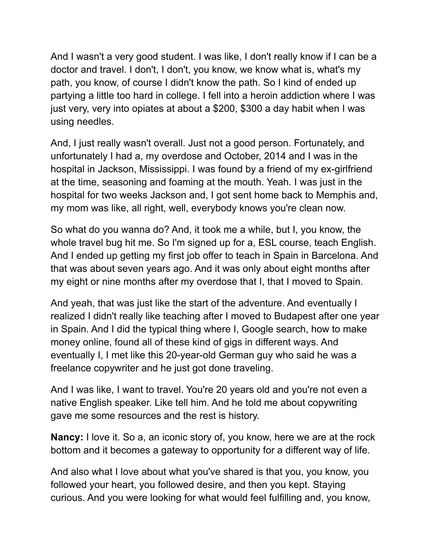And I wasn't a very good student. I was like, I don't really know if I can be a doctor and travel. I don't, I don't, you know, we know what is, what's my path, you know, of course I didn't know the path. So I kind of ended up partying a little too hard in college. I fell into a heroin addiction where I was just very, very into opiates at about a \$200, \$300 a day habit when I was using needles.

And, I just really wasn't overall. Just not a good person. Fortunately, and unfortunately I had a, my overdose and October, 2014 and I was in the hospital in Jackson, Mississippi. I was found by a friend of my ex-girlfriend at the time, seasoning and foaming at the mouth. Yeah. I was just in the hospital for two weeks Jackson and, I got sent home back to Memphis and, my mom was like, all right, well, everybody knows you're clean now.

So what do you wanna do? And, it took me a while, but I, you know, the whole travel bug hit me. So I'm signed up for a, ESL course, teach English. And I ended up getting my first job offer to teach in Spain in Barcelona. And that was about seven years ago. And it was only about eight months after my eight or nine months after my overdose that I, that I moved to Spain.

And yeah, that was just like the start of the adventure. And eventually I realized I didn't really like teaching after I moved to Budapest after one year in Spain. And I did the typical thing where I, Google search, how to make money online, found all of these kind of gigs in different ways. And eventually I, I met like this 20-year-old German guy who said he was a freelance copywriter and he just got done traveling.

And I was like, I want to travel. You're 20 years old and you're not even a native English speaker. Like tell him. And he told me about copywriting gave me some resources and the rest is history.

**Nancy:** I love it. So a, an iconic story of, you know, here we are at the rock bottom and it becomes a gateway to opportunity for a different way of life.

And also what I love about what you've shared is that you, you know, you followed your heart, you followed desire, and then you kept. Staying curious. And you were looking for what would feel fulfilling and, you know,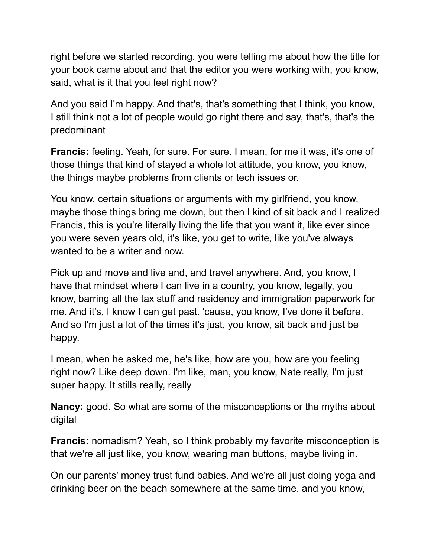right before we started recording, you were telling me about how the title for your book came about and that the editor you were working with, you know, said, what is it that you feel right now?

And you said I'm happy. And that's, that's something that I think, you know, I still think not a lot of people would go right there and say, that's, that's the predominant

**Francis:** feeling. Yeah, for sure. For sure. I mean, for me it was, it's one of those things that kind of stayed a whole lot attitude, you know, you know, the things maybe problems from clients or tech issues or.

You know, certain situations or arguments with my girlfriend, you know, maybe those things bring me down, but then I kind of sit back and I realized Francis, this is you're literally living the life that you want it, like ever since you were seven years old, it's like, you get to write, like you've always wanted to be a writer and now.

Pick up and move and live and, and travel anywhere. And, you know, I have that mindset where I can live in a country, you know, legally, you know, barring all the tax stuff and residency and immigration paperwork for me. And it's, I know I can get past. 'cause, you know, I've done it before. And so I'm just a lot of the times it's just, you know, sit back and just be happy.

I mean, when he asked me, he's like, how are you, how are you feeling right now? Like deep down. I'm like, man, you know, Nate really, I'm just super happy. It stills really, really

**Nancy:** good. So what are some of the misconceptions or the myths about digital

**Francis:** nomadism? Yeah, so I think probably my favorite misconception is that we're all just like, you know, wearing man buttons, maybe living in.

On our parents' money trust fund babies. And we're all just doing yoga and drinking beer on the beach somewhere at the same time. and you know,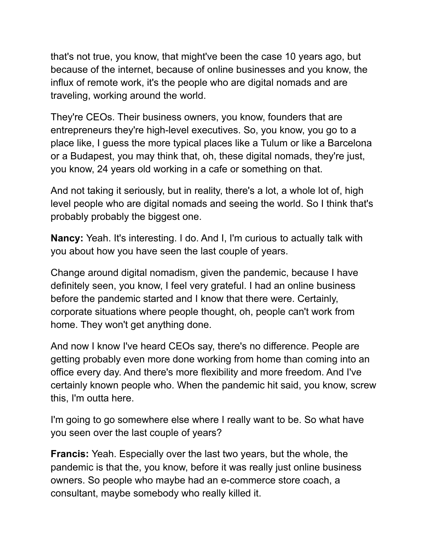that's not true, you know, that might've been the case 10 years ago, but because of the internet, because of online businesses and you know, the influx of remote work, it's the people who are digital nomads and are traveling, working around the world.

They're CEOs. Their business owners, you know, founders that are entrepreneurs they're high-level executives. So, you know, you go to a place like, I guess the more typical places like a Tulum or like a Barcelona or a Budapest, you may think that, oh, these digital nomads, they're just, you know, 24 years old working in a cafe or something on that.

And not taking it seriously, but in reality, there's a lot, a whole lot of, high level people who are digital nomads and seeing the world. So I think that's probably probably the biggest one.

**Nancy:** Yeah. It's interesting. I do. And I, I'm curious to actually talk with you about how you have seen the last couple of years.

Change around digital nomadism, given the pandemic, because I have definitely seen, you know, I feel very grateful. I had an online business before the pandemic started and I know that there were. Certainly, corporate situations where people thought, oh, people can't work from home. They won't get anything done.

And now I know I've heard CEOs say, there's no difference. People are getting probably even more done working from home than coming into an office every day. And there's more flexibility and more freedom. And I've certainly known people who. When the pandemic hit said, you know, screw this, I'm outta here.

I'm going to go somewhere else where I really want to be. So what have you seen over the last couple of years?

**Francis:** Yeah. Especially over the last two years, but the whole, the pandemic is that the, you know, before it was really just online business owners. So people who maybe had an e-commerce store coach, a consultant, maybe somebody who really killed it.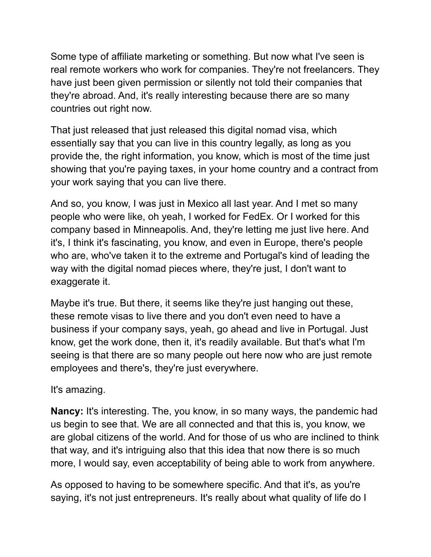Some type of affiliate marketing or something. But now what I've seen is real remote workers who work for companies. They're not freelancers. They have just been given permission or silently not told their companies that they're abroad. And, it's really interesting because there are so many countries out right now.

That just released that just released this digital nomad visa, which essentially say that you can live in this country legally, as long as you provide the, the right information, you know, which is most of the time just showing that you're paying taxes, in your home country and a contract from your work saying that you can live there.

And so, you know, I was just in Mexico all last year. And I met so many people who were like, oh yeah, I worked for FedEx. Or I worked for this company based in Minneapolis. And, they're letting me just live here. And it's, I think it's fascinating, you know, and even in Europe, there's people who are, who've taken it to the extreme and Portugal's kind of leading the way with the digital nomad pieces where, they're just, I don't want to exaggerate it.

Maybe it's true. But there, it seems like they're just hanging out these, these remote visas to live there and you don't even need to have a business if your company says, yeah, go ahead and live in Portugal. Just know, get the work done, then it, it's readily available. But that's what I'm seeing is that there are so many people out here now who are just remote employees and there's, they're just everywhere.

It's amazing.

**Nancy:** It's interesting. The, you know, in so many ways, the pandemic had us begin to see that. We are all connected and that this is, you know, we are global citizens of the world. And for those of us who are inclined to think that way, and it's intriguing also that this idea that now there is so much more, I would say, even acceptability of being able to work from anywhere.

As opposed to having to be somewhere specific. And that it's, as you're saying, it's not just entrepreneurs. It's really about what quality of life do I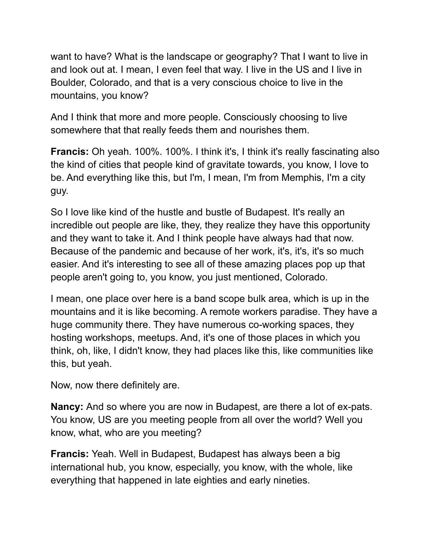want to have? What is the landscape or geography? That I want to live in and look out at. I mean, I even feel that way. I live in the US and I live in Boulder, Colorado, and that is a very conscious choice to live in the mountains, you know?

And I think that more and more people. Consciously choosing to live somewhere that that really feeds them and nourishes them.

**Francis:** Oh yeah. 100%. 100%. I think it's, I think it's really fascinating also the kind of cities that people kind of gravitate towards, you know, I love to be. And everything like this, but I'm, I mean, I'm from Memphis, I'm a city guy.

So I love like kind of the hustle and bustle of Budapest. It's really an incredible out people are like, they, they realize they have this opportunity and they want to take it. And I think people have always had that now. Because of the pandemic and because of her work, it's, it's, it's so much easier. And it's interesting to see all of these amazing places pop up that people aren't going to, you know, you just mentioned, Colorado.

I mean, one place over here is a band scope bulk area, which is up in the mountains and it is like becoming. A remote workers paradise. They have a huge community there. They have numerous co-working spaces, they hosting workshops, meetups. And, it's one of those places in which you think, oh, like, I didn't know, they had places like this, like communities like this, but yeah.

Now, now there definitely are.

**Nancy:** And so where you are now in Budapest, are there a lot of ex-pats. You know, US are you meeting people from all over the world? Well you know, what, who are you meeting?

**Francis:** Yeah. Well in Budapest, Budapest has always been a big international hub, you know, especially, you know, with the whole, like everything that happened in late eighties and early nineties.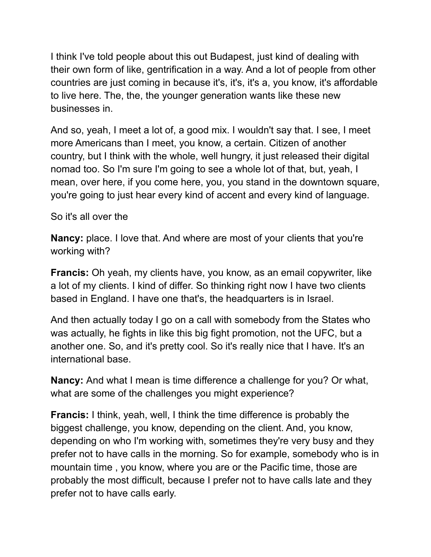I think I've told people about this out Budapest, just kind of dealing with their own form of like, gentrification in a way. And a lot of people from other countries are just coming in because it's, it's, it's a, you know, it's affordable to live here. The, the, the younger generation wants like these new businesses in.

And so, yeah, I meet a lot of, a good mix. I wouldn't say that. I see, I meet more Americans than I meet, you know, a certain. Citizen of another country, but I think with the whole, well hungry, it just released their digital nomad too. So I'm sure I'm going to see a whole lot of that, but, yeah, I mean, over here, if you come here, you, you stand in the downtown square, you're going to just hear every kind of accent and every kind of language.

So it's all over the

**Nancy:** place. I love that. And where are most of your clients that you're working with?

**Francis:** Oh yeah, my clients have, you know, as an email copywriter, like a lot of my clients. I kind of differ. So thinking right now I have two clients based in England. I have one that's, the headquarters is in Israel.

And then actually today I go on a call with somebody from the States who was actually, he fights in like this big fight promotion, not the UFC, but a another one. So, and it's pretty cool. So it's really nice that I have. It's an international base.

**Nancy:** And what I mean is time difference a challenge for you? Or what, what are some of the challenges you might experience?

**Francis:** I think, yeah, well, I think the time difference is probably the biggest challenge, you know, depending on the client. And, you know, depending on who I'm working with, sometimes they're very busy and they prefer not to have calls in the morning. So for example, somebody who is in mountain time , you know, where you are or the Pacific time, those are probably the most difficult, because I prefer not to have calls late and they prefer not to have calls early.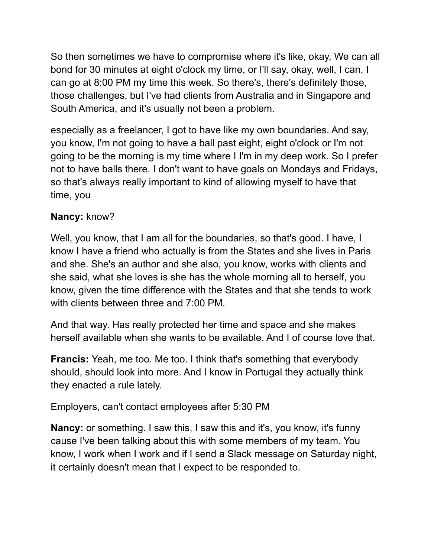So then sometimes we have to compromise where it's like, okay, We can all bond for 30 minutes at eight o'clock my time, or I'll say, okay, well, I can, I can go at 8:00 PM my time this week. So there's, there's definitely those, those challenges, but I've had clients from Australia and in Singapore and South America, and it's usually not been a problem.

especially as a freelancer, I got to have like my own boundaries. And say, you know, I'm not going to have a ball past eight, eight o'clock or I'm not going to be the morning is my time where I I'm in my deep work. So I prefer not to have balls there. I don't want to have goals on Mondays and Fridays, so that's always really important to kind of allowing myself to have that time, you

## **Nancy:** know?

Well, you know, that I am all for the boundaries, so that's good. I have, I know I have a friend who actually is from the States and she lives in Paris and she. She's an author and she also, you know, works with clients and she said, what she loves is she has the whole morning all to herself, you know, given the time difference with the States and that she tends to work with clients between three and 7:00 PM.

And that way. Has really protected her time and space and she makes herself available when she wants to be available. And I of course love that.

**Francis:** Yeah, me too. Me too. I think that's something that everybody should, should look into more. And I know in Portugal they actually think they enacted a rule lately.

Employers, can't contact employees after 5:30 PM

**Nancy:** or something. I saw this, I saw this and it's, you know, it's funny cause I've been talking about this with some members of my team. You know, I work when I work and if I send a Slack message on Saturday night, it certainly doesn't mean that I expect to be responded to.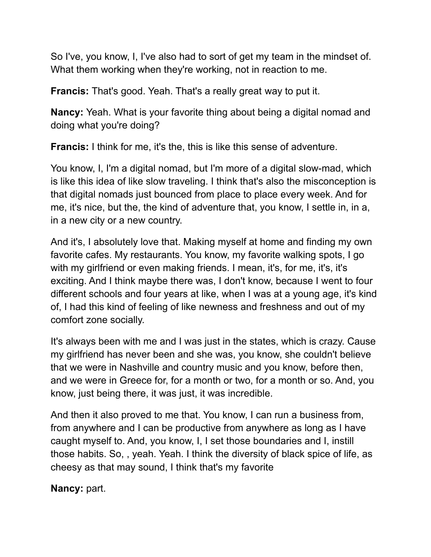So I've, you know, I, I've also had to sort of get my team in the mindset of. What them working when they're working, not in reaction to me.

**Francis:** That's good. Yeah. That's a really great way to put it.

**Nancy:** Yeah. What is your favorite thing about being a digital nomad and doing what you're doing?

**Francis:** I think for me, it's the, this is like this sense of adventure.

You know, I, I'm a digital nomad, but I'm more of a digital slow-mad, which is like this idea of like slow traveling. I think that's also the misconception is that digital nomads just bounced from place to place every week. And for me, it's nice, but the, the kind of adventure that, you know, I settle in, in a, in a new city or a new country.

And it's, I absolutely love that. Making myself at home and finding my own favorite cafes. My restaurants. You know, my favorite walking spots, I go with my girlfriend or even making friends. I mean, it's, for me, it's, it's exciting. And I think maybe there was, I don't know, because I went to four different schools and four years at like, when I was at a young age, it's kind of, I had this kind of feeling of like newness and freshness and out of my comfort zone socially.

It's always been with me and I was just in the states, which is crazy. Cause my girlfriend has never been and she was, you know, she couldn't believe that we were in Nashville and country music and you know, before then, and we were in Greece for, for a month or two, for a month or so. And, you know, just being there, it was just, it was incredible.

And then it also proved to me that. You know, I can run a business from, from anywhere and I can be productive from anywhere as long as I have caught myself to. And, you know, I, I set those boundaries and I, instill those habits. So, , yeah. Yeah. I think the diversity of black spice of life, as cheesy as that may sound, I think that's my favorite

**Nancy:** part.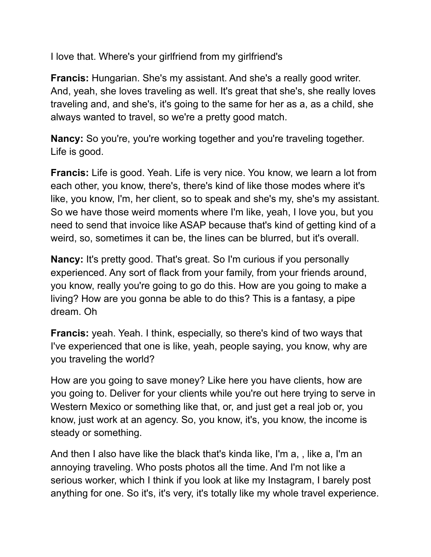I love that. Where's your girlfriend from my girlfriend's

**Francis:** Hungarian. She's my assistant. And she's a really good writer. And, yeah, she loves traveling as well. It's great that she's, she really loves traveling and, and she's, it's going to the same for her as a, as a child, she always wanted to travel, so we're a pretty good match.

**Nancy:** So you're, you're working together and you're traveling together. Life is good.

**Francis:** Life is good. Yeah. Life is very nice. You know, we learn a lot from each other, you know, there's, there's kind of like those modes where it's like, you know, I'm, her client, so to speak and she's my, she's my assistant. So we have those weird moments where I'm like, yeah, I love you, but you need to send that invoice like ASAP because that's kind of getting kind of a weird, so, sometimes it can be, the lines can be blurred, but it's overall.

**Nancy:** It's pretty good. That's great. So I'm curious if you personally experienced. Any sort of flack from your family, from your friends around, you know, really you're going to go do this. How are you going to make a living? How are you gonna be able to do this? This is a fantasy, a pipe dream. Oh

**Francis:** yeah. Yeah. I think, especially, so there's kind of two ways that I've experienced that one is like, yeah, people saying, you know, why are you traveling the world?

How are you going to save money? Like here you have clients, how are you going to. Deliver for your clients while you're out here trying to serve in Western Mexico or something like that, or, and just get a real job or, you know, just work at an agency. So, you know, it's, you know, the income is steady or something.

And then I also have like the black that's kinda like, I'm a, , like a, I'm an annoying traveling. Who posts photos all the time. And I'm not like a serious worker, which I think if you look at like my Instagram, I barely post anything for one. So it's, it's very, it's totally like my whole travel experience.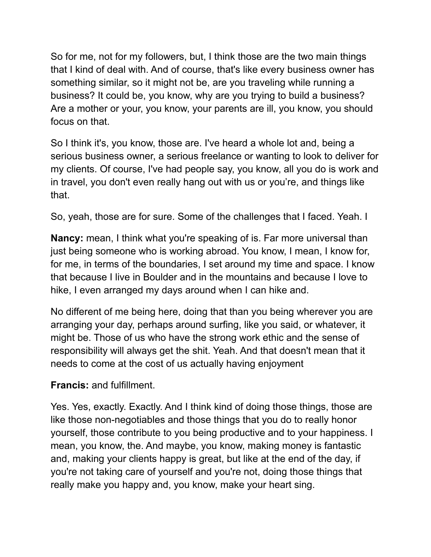So for me, not for my followers, but, I think those are the two main things that I kind of deal with. And of course, that's like every business owner has something similar, so it might not be, are you traveling while running a business? It could be, you know, why are you trying to build a business? Are a mother or your, you know, your parents are ill, you know, you should focus on that.

So I think it's, you know, those are. I've heard a whole lot and, being a serious business owner, a serious freelance or wanting to look to deliver for my clients. Of course, I've had people say, you know, all you do is work and in travel, you don't even really hang out with us or you're, and things like that.

So, yeah, those are for sure. Some of the challenges that I faced. Yeah. I

**Nancy:** mean, I think what you're speaking of is. Far more universal than just being someone who is working abroad. You know, I mean, I know for, for me, in terms of the boundaries, I set around my time and space. I know that because I live in Boulder and in the mountains and because I love to hike, I even arranged my days around when I can hike and.

No different of me being here, doing that than you being wherever you are arranging your day, perhaps around surfing, like you said, or whatever, it might be. Those of us who have the strong work ethic and the sense of responsibility will always get the shit. Yeah. And that doesn't mean that it needs to come at the cost of us actually having enjoyment

## **Francis:** and fulfillment.

Yes. Yes, exactly. Exactly. And I think kind of doing those things, those are like those non-negotiables and those things that you do to really honor yourself, those contribute to you being productive and to your happiness. I mean, you know, the. And maybe, you know, making money is fantastic and, making your clients happy is great, but like at the end of the day, if you're not taking care of yourself and you're not, doing those things that really make you happy and, you know, make your heart sing.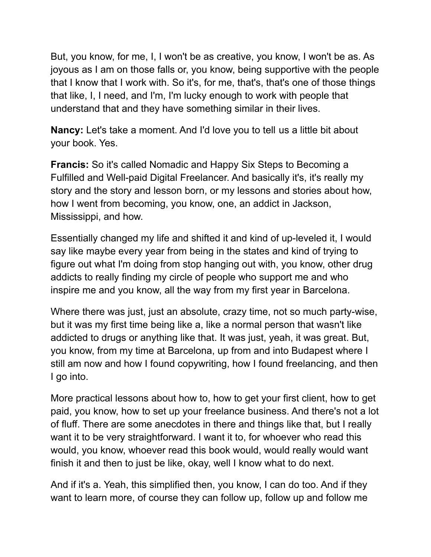But, you know, for me, I, I won't be as creative, you know, I won't be as. As joyous as I am on those falls or, you know, being supportive with the people that I know that I work with. So it's, for me, that's, that's one of those things that like, I, I need, and I'm, I'm lucky enough to work with people that understand that and they have something similar in their lives.

**Nancy:** Let's take a moment. And I'd love you to tell us a little bit about your book. Yes.

**Francis:** So it's called Nomadic and Happy Six Steps to Becoming a Fulfilled and Well-paid Digital Freelancer. And basically it's, it's really my story and the story and lesson born, or my lessons and stories about how, how I went from becoming, you know, one, an addict in Jackson, Mississippi, and how.

Essentially changed my life and shifted it and kind of up-leveled it, I would say like maybe every year from being in the states and kind of trying to figure out what I'm doing from stop hanging out with, you know, other drug addicts to really finding my circle of people who support me and who inspire me and you know, all the way from my first year in Barcelona.

Where there was just, just an absolute, crazy time, not so much party-wise, but it was my first time being like a, like a normal person that wasn't like addicted to drugs or anything like that. It was just, yeah, it was great. But, you know, from my time at Barcelona, up from and into Budapest where I still am now and how I found copywriting, how I found freelancing, and then I go into.

More practical lessons about how to, how to get your first client, how to get paid, you know, how to set up your freelance business. And there's not a lot of fluff. There are some anecdotes in there and things like that, but I really want it to be very straightforward. I want it to, for whoever who read this would, you know, whoever read this book would, would really would want finish it and then to just be like, okay, well I know what to do next.

And if it's a. Yeah, this simplified then, you know, I can do too. And if they want to learn more, of course they can follow up, follow up and follow me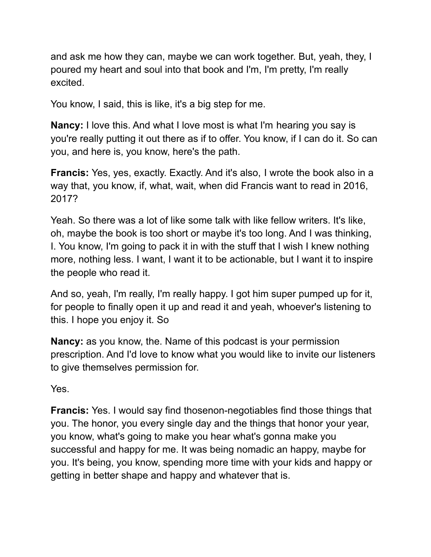and ask me how they can, maybe we can work together. But, yeah, they, I poured my heart and soul into that book and I'm, I'm pretty, I'm really excited.

You know, I said, this is like, it's a big step for me.

**Nancy:** I love this. And what I love most is what I'm hearing you say is you're really putting it out there as if to offer. You know, if I can do it. So can you, and here is, you know, here's the path.

**Francis:** Yes, yes, exactly. Exactly. And it's also, I wrote the book also in a way that, you know, if, what, wait, when did Francis want to read in 2016, 2017?

Yeah. So there was a lot of like some talk with like fellow writers. It's like, oh, maybe the book is too short or maybe it's too long. And I was thinking, I. You know, I'm going to pack it in with the stuff that I wish I knew nothing more, nothing less. I want, I want it to be actionable, but I want it to inspire the people who read it.

And so, yeah, I'm really, I'm really happy. I got him super pumped up for it, for people to finally open it up and read it and yeah, whoever's listening to this. I hope you enjoy it. So

**Nancy:** as you know, the. Name of this podcast is your permission prescription. And I'd love to know what you would like to invite our listeners to give themselves permission for.

Yes.

**Francis:** Yes. I would say find thosenon-negotiables find those things that you. The honor, you every single day and the things that honor your year, you know, what's going to make you hear what's gonna make you successful and happy for me. It was being nomadic an happy, maybe for you. It's being, you know, spending more time with your kids and happy or getting in better shape and happy and whatever that is.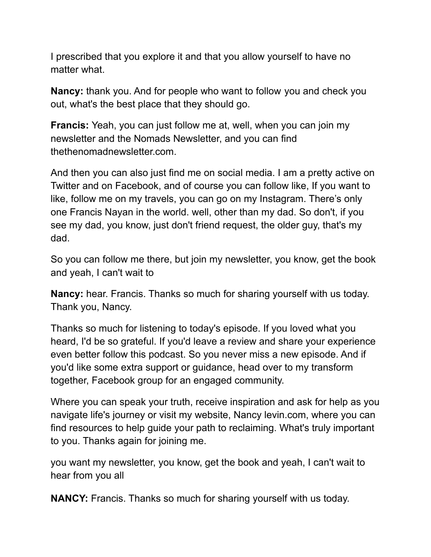I prescribed that you explore it and that you allow yourself to have no matter what.

**Nancy:** thank you. And for people who want to follow you and check you out, what's the best place that they should go.

**Francis:** Yeah, you can just follow me at, well, when you can join my newsletter and the Nomads Newsletter, and you can find thethenomadnewsletter.com.

And then you can also just find me on social media. I am a pretty active on Twitter and on Facebook, and of course you can follow like, If you want to like, follow me on my travels, you can go on my Instagram. There's only one Francis Nayan in the world. well, other than my dad. So don't, if you see my dad, you know, just don't friend request, the older guy, that's my dad.

So you can follow me there, but join my newsletter, you know, get the book and yeah, I can't wait to

**Nancy:** hear. Francis. Thanks so much for sharing yourself with us today. Thank you, Nancy.

Thanks so much for listening to today's episode. If you loved what you heard, I'd be so grateful. If you'd leave a review and share your experience even better follow this podcast. So you never miss a new episode. And if you'd like some extra support or guidance, head over to my transform together, Facebook group for an engaged community.

Where you can speak your truth, receive inspiration and ask for help as you navigate life's journey or visit my website, Nancy levin.com, where you can find resources to help guide your path to reclaiming. What's truly important to you. Thanks again for joining me.

you want my newsletter, you know, get the book and yeah, I can't wait to hear from you all

**NANCY:** Francis. Thanks so much for sharing yourself with us today.